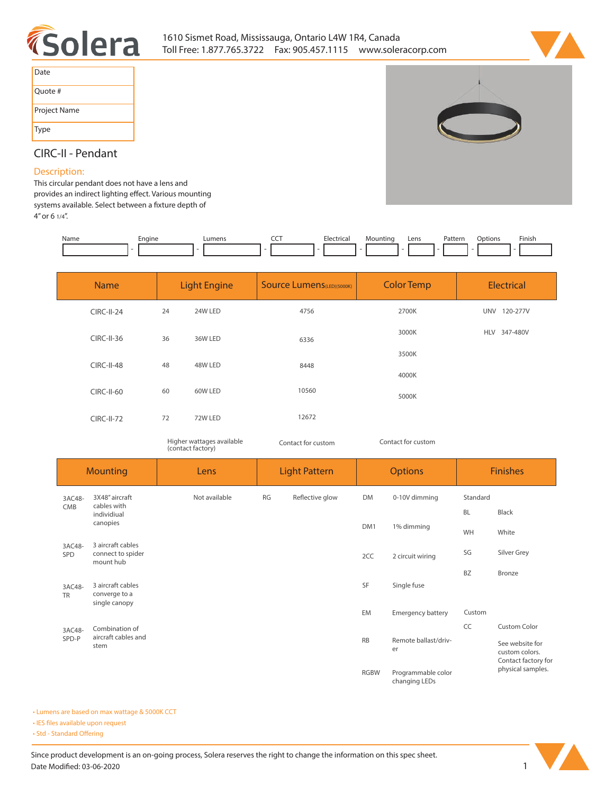



| Date         |
|--------------|
| Quote #      |
| Project Name |
| Type         |



## **CIRC-II - Pendant**

## **Description:**

**This circular pendant does not have a lens and**  provides an indirect lighting effect. Various mounting systems available. Select between a fixture depth of **4" or 6 1/4".** 

| Name | Engine | Lumens | ---<br>$\tilde{}$ | Electrical | Mounting | Lens | Pattern | Jptions | Finish |
|------|--------|--------|-------------------|------------|----------|------|---------|---------|--------|
|      |        |        |                   |            |          |      |         |         |        |

| <b>Name</b>       | <b>Light Engine</b> |         | <b>Source Lumens</b> (LED)(5000K) | <b>Color Temp</b> | <b>Electrical</b> |  |  |
|-------------------|---------------------|---------|-----------------------------------|-------------------|-------------------|--|--|
| <b>CIRC-II-24</b> | 24                  | 24W LED | 4756                              | 2700K             | UNV 120-277V      |  |  |
| $CIRC-II-36$      | 36                  | 36W LED | 6336                              | 3000K             | HLV 347-480V      |  |  |
| <b>CIRC-II-48</b> | 48                  | 48W LED | 8448                              | 3500K             |                   |  |  |
| CIRC-II-60        | 60                  | 60W LED | 10560                             | 4000K             |                   |  |  |
|                   |                     |         |                                   | 5000K             |                   |  |  |
| <b>CIRC-II-72</b> | 72                  | 72W LED | 12672                             |                   |                   |  |  |

*Higher wattages available (contact factory)*

*Contact for custom*

*Contact for custom*

| <b>Mounting</b>                |                                                     | Lens          | <b>Light Pattern</b> |                                         | <b>Options</b>                      |                          | <b>Finishes</b>                                          |              |
|--------------------------------|-----------------------------------------------------|---------------|----------------------|-----------------------------------------|-------------------------------------|--------------------------|----------------------------------------------------------|--------------|
| 3AC48-                         | 3X48" aircraft<br>cables with                       | Not available | <b>RG</b>            | Reflective glow                         | DM                                  | 0-10V dimming            | Standard                                                 |              |
| CMB<br>individiual<br>canopies |                                                     |               |                      | DM1                                     | 1% dimming                          | <b>BL</b>                | Black                                                    |              |
|                                |                                                     |               |                      |                                         |                                     | WH                       | White                                                    |              |
| 3AC48-<br>SPD                  | 3 aircraft cables<br>connect to spider<br>mount hub |               |                      |                                         | 2CC                                 | 2 circuit wiring         | SG                                                       | Silver Grey  |
|                                |                                                     |               |                      |                                         |                                     |                          | <b>BZ</b>                                                | Bronze       |
| 3AC48-<br><b>TR</b>            | 3 aircraft cables<br>converge to a<br>single canopy |               |                      |                                         | SF                                  | Single fuse              |                                                          |              |
|                                |                                                     |               |                      |                                         | EM                                  | <b>Emergency battery</b> | Custom                                                   |              |
| 3AC48-                         | Combination of                                      |               |                      |                                         |                                     |                          | CC                                                       | Custom Color |
|                                | aircraft cables and<br>SPD-P<br>stem                |               |                      | <b>RB</b><br>Remote ballast/driv-<br>er |                                     |                          | See website for<br>custom colors.<br>Contact factory for |              |
|                                |                                                     |               |                      | <b>RGBW</b>                             | Programmable color<br>changing LEDs |                          | physical samples.                                        |              |

**• Lumens are based on max wattage & 5000K CCT**

**• IES files available upon request** 

• Std - Standard Offering